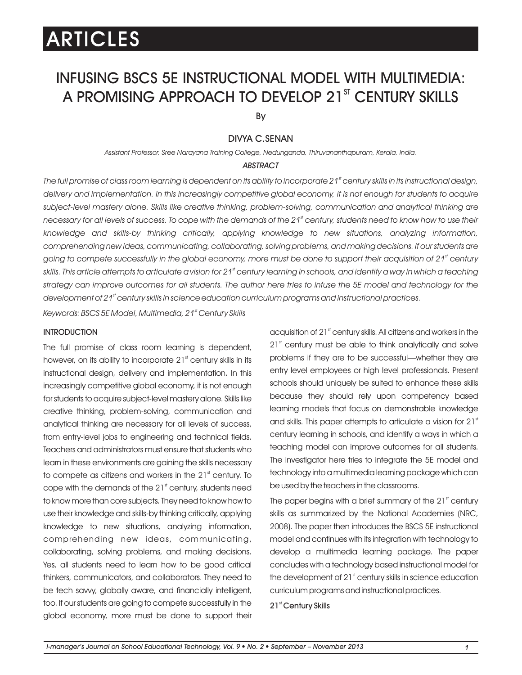# INFUSING BSCS 5E INSTRUCTIONAL MODEL WITH MULTIMEDIA: A PROMISING APPROACH TO DEVELOP 21<sup>ST</sup> CENTURY SKILLS

By

### DIVYA C.SENAN

*Assistant Professor, Sree Narayana Training College, Nedunganda, Thiruvananthapuram, Kerala, India.*

#### *ABSTRACT*

*st The full promise of class room learning is dependent on its ability to incorporate 21 century skills in its instructional design,*  delivery and implementation. In this increasingly competitive global economy, it is not enough for students to acquire *subject-level mastery alone. Skills like creative thinking, problem-solving, communication and analytical thinking are st necessary for all levels of success. To cope with the demands of the 21 century, students need to know how to use their knowledge and skills-by thinking critically, applying knowledge to new situations, analyzing information, comprehending new ideas, communicating, collaborating, solving problems, and making decisions. If our students are*  going to compete successfully in the global economy, more must be done to support their acquisition of 21<sup>st</sup> century *st skills. This article attempts to articulate a vision for 21 century learning in schools, and identify a way in which a teaching*  strategy can improve outcomes for all students. The author here tries to infuse the 5E model and technology for the *st development of 21 century skills in science education curriculum programs and instructional practices.*

*st Keywords: BSCS 5E Model, Multimedia, 21 Century Skills*

#### **INTRODUCTION**

The full promise of class room learning is dependent, however, on its ability to incorporate  $21<sup>s</sup>$  century skills in its instructional design, delivery and implementation. In this increasingly competitive global economy, it is not enough for students to acquire subject-level mastery alone. Skills like creative thinking, problem-solving, communication and analytical thinking are necessary for all levels of success, from entry-level jobs to engineering and technical fields. Teachers and administrators must ensure that students who learn in these environments are gaining the skills necessary to compete as citizens and workers in the  $21<sup>st</sup>$  century. To cope with the demands of the  $21<sup>s</sup>$  century, students need to know more than core subjects. They need to know how to use their knowledge and skills-by thinking critically, applying knowledge to new situations, analyzing information, comprehending new ideas, communicating, collaborating, solving problems, and making decisions. Yes, all students need to learn how to be good critical thinkers, communicators, and collaborators. They need to be tech savvy, globally aware, and financially intelligent, too. If our students are going to compete successfully in the global economy, more must be done to support their acquisition of 21 $<sup>st</sup>$  century skills. All citizens and workers in the</sup>  $21<sup>st</sup>$  century must be able to think analytically and solve problems if they are to be successful—whether they are entry level employees or high level professionals. Present schools should uniquely be suited to enhance these skills because they should rely upon competency based learning models that focus on demonstrable knowledge and skills. This paper attempts to articulate a vision for  $21<sup>st</sup>$ century learning in schools, and identify a ways in which a teaching model can improve outcomes for all students. The investigator here tries to integrate the 5E model and technology into a multimedia learning package which can be used by the teachers in the classrooms.

The paper begins with a brief summary of the  $21<sup>st</sup>$  century skills as summarized by the National Academies (NRC, 2008). The paper then introduces the BSCS 5E instructional model and continues with its integration with technology to develop a multimedia learning package. The paper concludes with a technology based instructional model for the development of  $21<sup>st</sup>$  century skills in science education curriculum programs and instructional practices.

21<sup>st</sup> Century Skills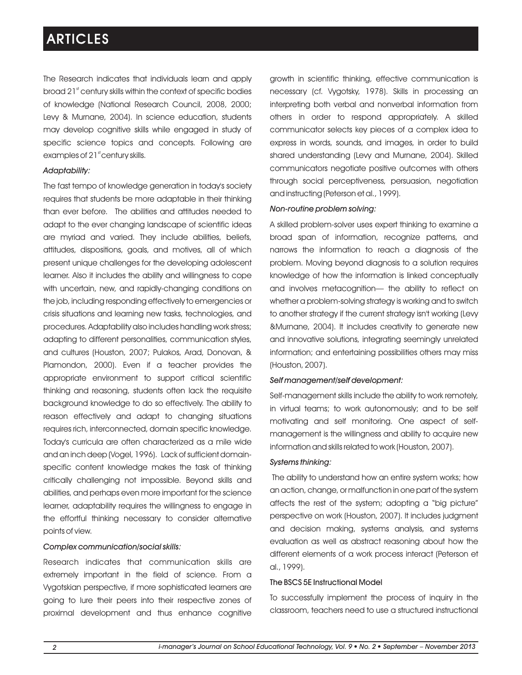The Research indicates that individuals learn and apply  $\boldsymbol{\delta}$  broad 21 $\boldsymbol{\delta}$  century skills within the context of specific bodies of knowledge (National Research Council, 2008, 2000; Levy & Murnane, 2004). In science education, students may develop cognitive skills while engaged in study of specific science topics and concepts. Following are examples of  $21<sup>st</sup>$  century skills.

### *Adaptability:*

The fast tempo of knowledge generation in today's society requires that students be more adaptable in their thinking than ever before. The abilities and attitudes needed to adapt to the ever changing landscape of scientific ideas are myriad and varied. They include abilities, beliefs, attitudes, dispositions, goals, and motives, all of which present unique challenges for the developing adolescent learner. Also it includes the ability and willingness to cope with uncertain, new, and rapidly-changing conditions on the job, including responding effectively to emergencies or crisis situations and learning new tasks, technologies, and procedures. Adaptability also includes handling work stress; adapting to different personalities, communication styles, and cultures (Houston, 2007; Pulakos, Arad, Donovan, & Plamondon, 2000). Even if a teacher provides the appropriate environment to support critical scientific thinking and reasoning, students often lack the requisite background knowledge to do so effectively. The ability to reason effectively and adapt to changing situations requires rich, interconnected, domain specific knowledge. Today's curricula are often characterized as a mile wide and an inch deep (Vogel, 1996). Lack of sufficient domainspecific content knowledge makes the task of thinking critically challenging not impossible. Beyond skills and abilities, and perhaps even more important for the science learner, adaptability requires the willingness to engage in the effortful thinking necessary to consider alternative points of view.

### *Complex communication/social skills:*

Research indicates that communication skills are extremely important in the field of science. From a Vygotskian perspective, if more sophisticated learners are going to lure their peers into their respective zones of proximal development and thus enhance cognitive growth in scientific thinking, effective communication is necessary (cf. Vygotsky, 1978). Skills in processing an interpreting both verbal and nonverbal information from others in order to respond appropriately. A skilled communicator selects key pieces of a complex idea to express in words, sounds, and images, in order to build shared understanding (Levy and Murnane, 2004). Skilled communicators negotiate positive outcomes with others through social perceptiveness, persuasion, negotiation and instructing (Peterson et al., 1999).

### *Non-routine problem solving:*

A skilled problem-solver uses expert thinking to examine a broad span of information, recognize patterns, and narrows the information to reach a diagnosis of the problem. Moving beyond diagnosis to a solution requires knowledge of how the information is linked conceptually and involves metacognition— the ability to reflect on whether a problem-solving strategy is working and to switch to another strategy if the current strategy isn't working (Levy &Murnane, 2004). It includes creativity to generate new and innovative solutions, integrating seemingly unrelated information; and entertaining possibilities others may miss (Houston, 2007).

### *Self management/self development:*

Self-management skills include the ability to work remotely, in virtual teams; to work autonomously; and to be self motivating and self monitoring. One aspect of selfmanagement is the willingness and ability to acquire new information and skills related to work (Houston, 2007).

### *Systems thinking:*

The ability to understand how an entire system works; how an action, change, or malfunction in one part of the system affects the rest of the system; adopting a "big picture" perspective on work (Houston, 2007). It includes judgment and decision making, systems analysis, and systems evaluation as well as abstract reasoning about how the different elements of a work process interact (Peterson et al., 1999).

### The BSCS 5E Instructional Model

To successfully implement the process of inquiry in the classroom, teachers need to use a structured instructional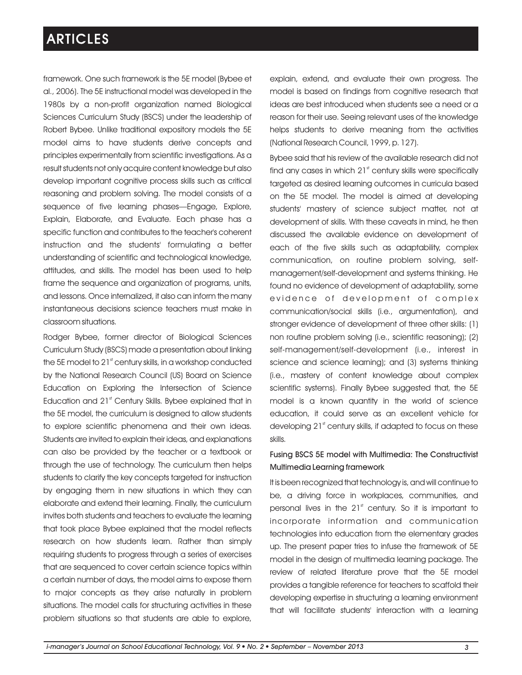framework. One such framework is the 5E model (Bybee et al., 2006). The 5E instructional model was developed in the 1980s by a non-profit organization named Biological Sciences Curriculum Study (BSCS) under the leadership of Robert Bybee. Unlike traditional expository models the 5E model aims to have students derive concepts and principles experimentally from scientific investigations. As a result students not only acquire content knowledge but also develop important cognitive process skills such as critical reasoning and problem solving. The model consists of a sequence of five learning phases—Engage, Explore, Explain, Elaborate, and Evaluate. Each phase has a specific function and contributes to the teacher's coherent instruction and the students' formulating a better understanding of scientific and technological knowledge, attitudes, and skills. The model has been used to help frame the sequence and organization of programs, units, and lessons. Once internalized, it also can inform the many instantaneous decisions science teachers must make in classroom situations.

Rodger Bybee, former director of Biological Sciences Curriculum Study (BSCS) made a presentation about linking the 5E model to  $21<sup>st</sup>$  century skills, in a workshop conducted by the National Research Council (US) Board on Science Education on Exploring the Intersection of Science Education and 21<sup>st</sup> Century Skills. Bybee explained that in the 5E model, the curriculum is designed to allow students to explore scientific phenomena and their own ideas. Students are invited to explain their ideas, and explanations can also be provided by the teacher or a textbook or through the use of technology. The curriculum then helps students to clarify the key concepts targeted for instruction by engaging them in new situations in which they can elaborate and extend their learning. Finally, the curriculum invites both students and teachers to evaluate the learning that took place Bybee explained that the model reflects research on how students learn. Rather than simply requiring students to progress through a series of exercises that are sequenced to cover certain science topics within a certain number of days, the model aims to expose them to major concepts as they arise naturally in problem situations. The model calls for structuring activities in these problem situations so that students are able to explore,

explain, extend, and evaluate their own progress. The model is based on findings from cognitive research that ideas are best introduced when students see a need or a reason for their use. Seeing relevant uses of the knowledge helps students to derive meaning from the activities (National Research Council, 1999, p. 127).

Bybee said that his review of the available research did not find any cases in which  $21<sup>st</sup>$  century skills were specifically targeted as desired learning outcomes in curricula based on the 5E model. The model is aimed at developing students' mastery of science subject matter, not at development of skills. With these caveats in mind, he then discussed the available evidence on development of each of the five skills such as adaptability, complex communication, on routine problem solving, selfmanagement/self-development and systems thinking. He found no evidence of development of adaptability, some evidence of development of complex communication/social skills (i.e., argumentation), and stronger evidence of development of three other skills: (1) non routine problem solving (i.e., scientific reasoning); (2) self-management/self-development (i.e., interest in science and science learning); and (3) systems thinking (i.e., mastery of content knowledge about complex scientific systems). Finally Bybee suggested that, the 5E model is a known quantity in the world of science education, it could serve as an excellent vehicle for developing 21<sup>st</sup> century skills, if adapted to focus on these skills.

### Fusing BSCS 5E model with Multimedia: The Constructivist Multimedia Learning framework

It is been recognized that technology is, and will continue to be, a driving force in workplaces, communities, and personal lives in the  $21<sup>st</sup>$  century. So it is important to incorporate information and communication technologies into education from the elementary grades up. The present paper tries to infuse the framework of 5E model in the design of multimedia learning package. The review of related literature prove that the 5E model provides a tangible reference for teachers to scaffold their developing expertise in structuring a learning environment that will facilitate students' interaction with a learning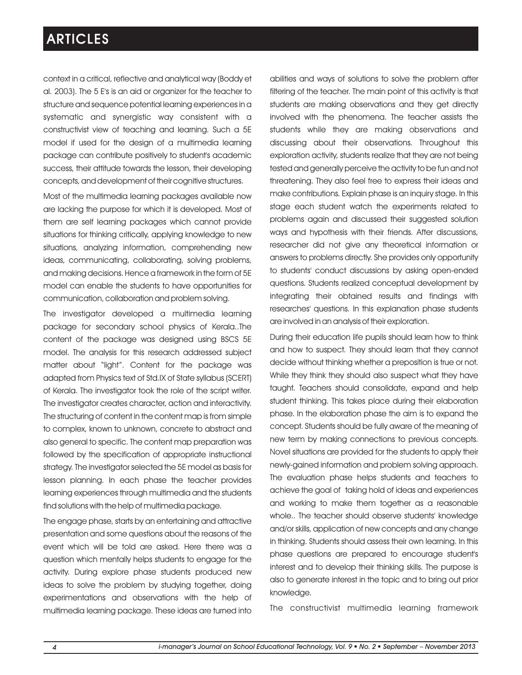context in a critical, reflective and analytical way (Boddy et al. 2003). The 5 E's is an aid or organizer for the teacher to structure and sequence potential learning experiences in a systematic and synergistic way consistent with a constructivist view of teaching and learning. Such a 5E model if used for the design of a multimedia learning package can contribute positively to student's academic success, their attitude towards the lesson, their developing concepts, and development of their cognitive structures.

Most of the multimedia learning packages available now are lacking the purpose for which it is developed. Most of them are self learning packages which cannot provide situations for thinking critically, applying knowledge to new situations, analyzing information, comprehending new ideas, communicating, collaborating, solving problems, and making decisions. Hence a framework in the form of 5E model can enable the students to have opportunities for communication, collaboration and problem solving.

The investigator developed a multimedia learning package for secondary school physics of Kerala..The content of the package was designed using BSCS 5E model. The analysis for this research addressed subject matter about "light". Content for the package was adapted from Physics text of Std.IX of State syllabus (SCERT) of Kerala. The investigator took the role of the script writer. The investigator creates character, action and interactivity. The structuring of content in the content map is from simple to complex, known to unknown, concrete to abstract and also general to specific. The content map preparation was followed by the specification of appropriate instructional strategy. The investigator selected the 5E model as basis for lesson planning. In each phase the teacher provides learning experiences through multimedia and the students find solutions with the help of multimedia package.

The engage phase, starts by an entertaining and attractive presentation and some questions about the reasons of the event which will be told are asked. Here there was a question which mentally helps students to engage for the activity. During explore phase students produced new ideas to solve the problem by studying together, doing experimentations and observations with the help of multimedia learning package. These ideas are turned into abilities and ways of solutions to solve the problem after filtering of the teacher. The main point of this activity is that students are making observations and they get directly involved with the phenomena. The teacher assists the students while they are making observations and discussing about their observations. Throughout this exploration activity, students realize that they are not being tested and generally perceive the activity to be fun and not threatening. They also feel free to express their ideas and make contributions. Explain phase is an inquiry stage. In this stage each student watch the experiments related to problems again and discussed their suggested solution ways and hypothesis with their friends. After discussions, researcher did not give any theoretical information or answers to problems directly. She provides only opportunity to students' conduct discussions by asking open-ended questions. Students realized conceptual development by integrating their obtained results and findings with researches' questions. In this explanation phase students are involved in an analysis of their exploration.

During their education life pupils should learn how to think and how to suspect. They should learn that they cannot decide without thinking whether a preposition is true or not. While they think they should also suspect what they have taught. Teachers should consolidate, expand and help student thinking. This takes place during their elaboration phase. In the elaboration phase the aim is to expand the concept. Students should be fully aware of the meaning of new term by making connections to previous concepts. Novel situations are provided for the students to apply their newly-gained information and problem solving approach. The evaluation phase helps students and teachers to achieve the goal of taking hold of ideas and experiences and working to make them together as a reasonable whole.. The teacher should observe students' knowledge and/or skills, application of new concepts and any change in thinking. Students should assess their own learning. In this phase questions are prepared to encourage student's interest and to develop their thinking skills. The purpose is also to generate interest in the topic and to bring out prior knowledge.

The constructivist multimedia learning framework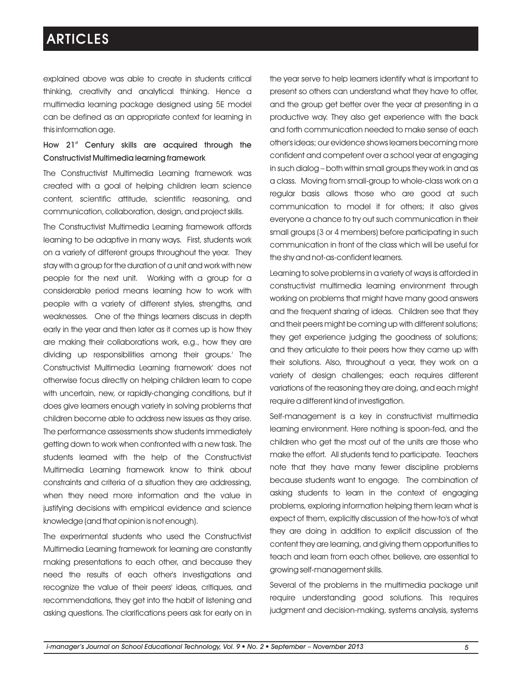explained above was able to create in students critical thinking, creativity and analytical thinking. Hence a multimedia learning package designed using 5E model can be defined as an appropriate context for learning in this information age.

### How 21<sup>st</sup> Century skills are acquired through the Constructivist Multimedia learning framework

The Constructivist Multimedia Learning framework was created with a goal of helping children learn science content, scientific attitude, scientific reasoning, and communication, collaboration, design, and project skills.

The Constructivist Multimedia Learning framework affords learning to be adaptive in many ways. First, students work on a variety of different groups throughout the year. They stay with a group for the duration of a unit and work with new people for the next unit. Working with a group for a considerable period means learning how to work with people with a variety of different styles, strengths, and weaknesses. One of the things learners discuss in depth early in the year and then later as it comes up is how they are making their collaborations work, e.g., how they are dividing up responsibilities among their groups.' The Constructivist Multimedia Learning framework' does not otherwise focus directly on helping children learn to cope with uncertain, new, or rapidly-changing conditions, but it does give learners enough variety in solving problems that children become able to address new issues as they arise. The performance assessments show students immediately getting down to work when confronted with a new task. The students learned with the help of the Constructivist Multimedia Learning framework know to think about constraints and criteria of a situation they are addressing, when they need more information and the value in justifying decisions with empirical evidence and science knowledge (and that opinion is not enough).

The experimental students who used the Constructivist Multimedia Learning framework for learning are constantly making presentations to each other, and because they need the results of each other's investigations and recognize the value of their peers' ideas, critiques, and recommendations, they get into the habit of listening and asking questions. The clarifications peers ask for early on in the year serve to help learners identify what is important to present so others can understand what they have to offer, and the group get better over the year at presenting in a productive way. They also get experience with the back and forth communication needed to make sense of each other's ideas; our evidence shows learners becoming more confident and competent over a school year at engaging in such dialog – both within small groups they work in and as a class. Moving from small-group to whole-class work on a regular basis allows those who are good at such communication to model it for others; it also gives everyone a chance to try out such communication in their small groups (3 or 4 members) before participating in such communication in front of the class which will be useful for the shy and not-as-confident learners.

Learning to solve problems in a variety of ways is afforded in constructivist multimedia learning environment through working on problems that might have many good answers and the frequent sharing of ideas. Children see that they and their peers might be coming up with different solutions; they get experience judging the goodness of solutions; and they articulate to their peers how they came up with their solutions. Also, throughout a year, they work on a variety of design challenges; each requires different variations of the reasoning they are doing, and each might require a different kind of investigation.

Self-management is a key in constructivist multimedia learning environment. Here nothing is spoon-fed, and the children who get the most out of the units are those who make the effort. All students tend to participate. Teachers note that they have many fewer discipline problems because students want to engage. The combination of asking students to learn in the context of engaging problems, exploring information helping them learn what is expect of them, explicitly discussion of the how-to's of what they are doing in addition to explicit discussion of the content they are learning, and giving them opportunities to teach and learn from each other, believe, are essential to growing self-management skills.

Several of the problems in the multimedia package unit require understanding good solutions. This requires judgment and decision-making, systems analysis, systems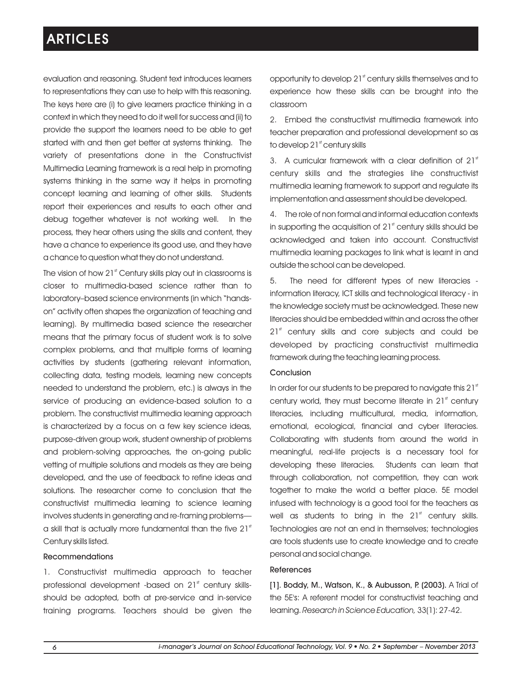evaluation and reasoning. Student text introduces learners to representations they can use to help with this reasoning. The keys here are (i) to give learners practice thinking in a context in which they need to do it well for success and (ii) to provide the support the learners need to be able to get started with and then get better at systems thinking. The variety of presentations done in the Constructivist Multimedia Learning framework is a real help in promoting systems thinking in the same way it helps in promoting concept learning and learning of other skills. Students report their experiences and results to each other and debug together whatever is not working well. In the process, they hear others using the skills and content, they have a chance to experience its good use, and they have a chance to question what they do not understand.

The vision of how 21<sup>st</sup> Century skills play out in classrooms is closer to multimedia-based science rather than to laboratory–based science environments (in which "handson" activity often shapes the organization of teaching and learning). By multimedia based science the researcher means that the primary focus of student work is to solve complex problems, and that multiple forms of learning activities by students (gathering relevant information, collecting data, testing models, learning new concepts needed to understand the problem, etc.) is always in the service of producing an evidence-based solution to a problem. The constructivist multimedia learning approach is characterized by a focus on a few key science ideas, purpose-driven group work, student ownership of problems and problem-solving approaches, the on-going public vetting of multiple solutions and models as they are being developed, and the use of feedback to refine ideas and solutions. The researcher come to conclusion that the constructivist multimedia learning to science learning involves students in generating and re-framing problems a skill that is actually more fundamental than the five  $21<sup>st</sup>$ Century skills listed.

### Recommendations

1. Constructivist multimedia approach to teacher professional development -based on 21<sup>st</sup> century skillsshould be adopted, both at pre-service and in-service training programs. Teachers should be given the opportunity to develop 21<sup>st</sup> century skills themselves and to experience how these skills can be brought into the classroom

2. Embed the constructivist multimedia framework into teacher preparation and professional development so as to develop 21st century skills

3. A curricular framework with a clear definition of  $21<sup>st</sup>$ century skills and the strategies lihe constructivist multimedia learning framework to support and regulate its implementation and assessment should be developed.

4. The role of non formal and informal education contexts in supporting the acquisition of  $21<sup>st</sup>$  century skills should be acknowledged and taken into account. Constructivist multimedia learning packages to link what is learnt in and outside the school can be developed.

5. The need for different types of new literacies information literacy, ICT skills and technological literacy - in the knowledge society must be acknowledged. These new literacies should be embedded within and across the other  $21<sup>st</sup>$  century skills and core subjects and could be developed by practicing constructivist multimedia framework during the teaching learning process.

### Conclusion

In order for our students to be prepared to navigate this 21st century world, they must become literate in 21<sup>st</sup> century literacies, including multicultural, media, information, emotional, ecological, financial and cyber literacies. Collaborating with students from around the world in meaningful, real-life projects is a necessary tool for developing these literacies. Students can learn that through collaboration, not competition, they can work together to make the world a better place. 5E model infused with technology is a good tool for the teachers as well as students to bring in the  $21<sup>st</sup>$  century skills. Technologies are not an end in themselves; technologies are tools students use to create knowledge and to create personal and social change.

#### References

[1]. Boddy, M., Watson, K., & Aubusson, P. (2003). A Trial of the 5E's: A referent model for constructivist teaching and learning. *Research in Science Education,* 33(1): 27-42.